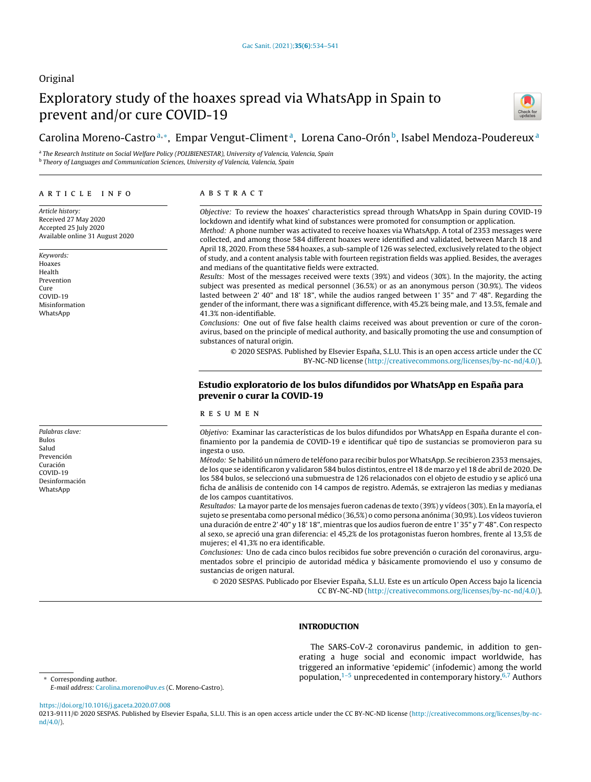# Original

# Exploratory study of the hoaxes spread via WhatsApp in Spain to prevent and/or cure COVID-19



# Carolina Moreno-Castroª,\*, Empar Vengut-Climentª, Lorena Cano-Orón<sup>b</sup>, Isabel Mendoza-Poudereux<sup>a</sup>

<sup>a</sup> The Research Institute on Social Welfare Policy (POLIBIENESTAR), University of Valencia, Valencia, Spain **b Theory of Languages and Communication Sciences, University of Valencia, Valencia, Spain** 

#### ARTICLE INFO

Article history: Received 27 May 2020 Accepted 25 July 2020 Available online 31 August 2020

Keywords: Hoaxes Health Prevention Cure COVID-19 Misinformation WhatsApp

Palabras clave: Bulos Salud Prevención Curación COVID-19 Desinformación WhatsApp

#### A B S T R A C T

Objective: To review the hoaxes' characteristics spread through WhatsApp in Spain during COVID-19 lockdown and identify what kind of substances were promoted for consumption or application. Method: A phone number was activated to receive hoaxes via WhatsApp. A total of 2353 messages were

collected, and among those 584 different hoaxes were identified and validated, between March 18 and April 18, 2020. From these 584 hoaxes, a sub-sample of 126 was selected, exclusively related to the object of study, and a content analysis table with fourteen registration fields was applied. Besides, the averages and medians of the quantitative fields were extracted.

Results: Most of the messages received were texts (39%) and videos (30%). In the majority, the acting subject was presented as medical personnel (36.5%) or as an anonymous person (30.9%). The videos lasted between 2' 40" and 18' 18", while the audios ranged between 1' 35" and 7' 48". Regarding the gender of the informant, there was a significant difference, with 45.2% being male, and 13.5%, female and 41.3% non-identifiable.

Conclusions: One out of five false health claims received was about prevention or cure of the coronavirus, based on the principle of medical authority, and basically promoting the use and consumption of substances of natural origin.

© 2020 SESPAS. Published by Elsevier España, S.L.U. This is an open access article under the CC BY-NC-ND license [\(http://creativecommons.org/licenses/by-nc-nd/4.0/](http://creativecommons.org/licenses/by-nc-nd/4.0/)).

## Estudio exploratorio de los bulos difundidos por WhatsApp en España para prevenir o curar la COVID-19

#### r e s u m e n

Objetivo: Examinar las características de los bulos difundidos por WhatsApp en España durante el confinamiento por la pandemia de COVID-19 e identificar qué tipo de sustancias se promovieron para su ingesta o uso.

Método: Se habilitó un número de teléfono para recibir bulos porWhatsApp. Se recibieron 2353 mensajes, de los que se identificaron y validaron 584 bulos distintos, entre el 18 de marzo y el 18 de abril de 2020. De los 584 bulos, se seleccionó una submuestra de 126 relacionados con el objeto de estudio y se aplicó una ficha de análisis de contenido con 14 campos de registro. Además, se extrajeron las medias y medianas de los campos cuantitativos.

Resultados: La mayor parte de los mensajes fueron cadenas de texto (39%) y vídeos (30%). En la mayoría, el sujeto se presentaba como personal médico (36,5%) o como persona anónima (30,9%). Los vídeos tuvieron una duración de entre 2' 40" y 18' 18", mientras que los audios fueron de entre 1' 35" y 7' 48". Con respecto al sexo, se apreció una gran diferencia: el 45,2% de los protagonistas fueron hombres, frente al 13,5% de mujeres; el 41,3% no era identificable.

Conclusiones: Uno de cada cinco bulos recibidos fue sobre prevención o curación del coronavirus, argumentados sobre el principio de autoridad médica y básicamente promoviendo el uso y consumo de sustancias de origen natural.

© 2020 SESPAS. Publicado por Elsevier España, S.L.U. Este es un artículo Open Access bajo la licencia CC BY-NC-ND [\(http://creativecommons.org/licenses/by-nc-nd/4.0/](http://creativecommons.org/licenses/by-nc-nd/4.0/)).

# INTRODUCTION

The SARS-CoV-2 coronavirus pandemic, in addition to generating a huge social and economic impact worldwide, has triggered an informative 'epidemic' (infodemic) among the world population, $1-5$  unprecedented in contemporary history.<sup>[6,7](#page-7-0)</sup> Authors

<sup>∗</sup> Corresponding author.

E-mail address: [Carolina.moreno@uv.es](mailto:Carolina.moreno@uv.es) (C. Moreno-Castro).

<https://doi.org/10.1016/j.gaceta.2020.07.008>

0213-9111/© 2020 SESPAS. Published by Elsevier España, S.L.U. This is an open access article under the CC BY-NC-ND license [\(http://creativecommons.org/licenses/by-nc](http://creativecommons.org/licenses/by-nc-nd/4.0/)[nd/4.0/\)](http://creativecommons.org/licenses/by-nc-nd/4.0/).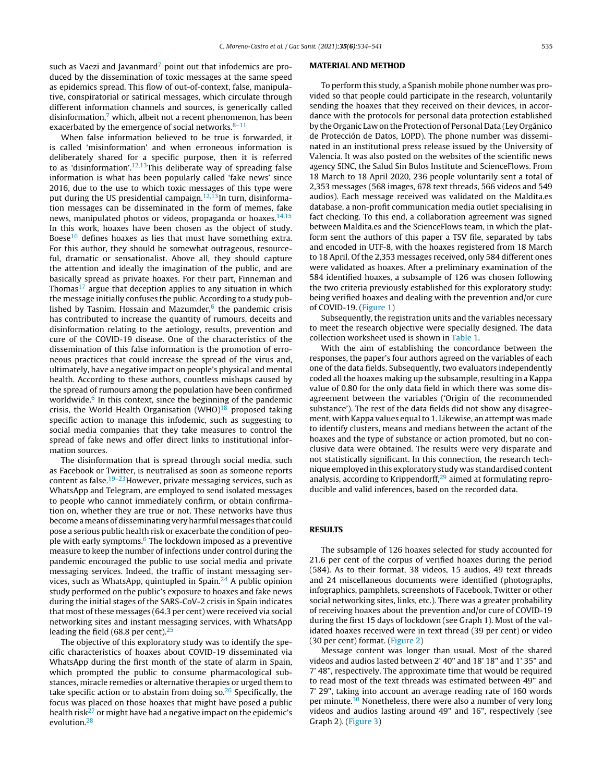such as Vaezi and Javanmard<sup>[7](#page-7-0)</sup> point out that infodemics are produced by the dissemination of toxic messages at the same speed as epidemics spread. This flow of out-of-context, false, manipulative, conspiratorial or satirical messages, which circulate through different information channels and sources, is generically called disinformation, $7$  which, albeit not a recent phenomenon, has been exacerbated by the emergence of social networks. $8-11$ 

When false information believed to be true is forwarded, it is called 'misinformation' and when erroneous information is deliberately shared for a specific purpose, then it is referred to as 'disinformation'.<sup>[12,13](#page-7-0)</sup>This deliberate way of spreading false information is what has been popularly called 'fake news' since 2016, due to the use to which toxic messages of this type were put during the US presidential campaign.<sup>[12,13](#page-7-0)</sup>In turn, disinformation messages can be disseminated in the form of memes, fake news, manipulated photos or videos, propaganda or hoaxes. $14,15$ In this work, hoaxes have been chosen as the object of study. Boese<sup>[16](#page-7-0)</sup> defines hoaxes as lies that must have something extra. For this author, they should be somewhat outrageous, resourceful, dramatic or sensationalist. Above all, they should capture the attention and ideally the imagination of the public, and are basically spread as private hoaxes. For their part, Finneman and Thomas<sup>[17](#page-7-0)</sup> argue that deception applies to any situation in which the message initially confuses the public. According to a study pub-lished by Tasnim, Hossain and Mazumder,<sup>[6](#page-7-0)</sup> the pandemic crisis has contributed to increase the quantity of rumours, deceits and disinformation relating to the aetiology, results, prevention and cure of the COVID-19 disease. One of the characteristics of the dissemination of this false information is the promotion of erroneous practices that could increase the spread of the virus and, ultimately, have a negative impact on people's physical and mental health. According to these authors, countless mishaps caused by the spread of rumours among the population have been confirmed worldwide.<sup>[6](#page-7-0)</sup> In this context, since the beginning of the pandemic crisis, the World Health Organisation (WHO) $18$  proposed taking specific action to manage this infodemic, such as suggesting to social media companies that they take measures to control the spread of fake news and offer direct links to institutional information sources.

The disinformation that is spread through social media, such as Facebook or Twitter, is neutralised as soon as someone reports content as false.<sup>[19–23](#page-7-0)</sup>However, private messaging services, such as WhatsApp and Telegram, are employed to send isolated messages to people who cannot immediately confirm, or obtain confirmation on, whether they are true or not. These networks have thus become ameans ofdisseminating veryharmfulmessages that could pose a serious public health risk or exacerbate the condition of people with early symptoms.<sup>6</sup> [T](#page-7-0)he lockdown imposed as a preventive measure to keep the number of infections under control during the pandemic encouraged the public to use social media and private messaging services. Indeed, the traffic of instant messaging ser-vices, such as WhatsApp, quintupled in Spain.<sup>[24](#page-7-0)</sup> A public opinion study performed on the public's exposure to hoaxes and fake news during the initial stages of the SARS-CoV-2 crisis in Spain indicates that most of these messages (64.3 per cent) were received via social networking sites and instant messaging services, with WhatsApp leading the field (68.8 per cent). $25$ 

The objective of this exploratory study was to identify the specific characteristics of hoaxes about COVID-19 disseminated via WhatsApp during the first month of the state of alarm in Spain, which prompted the public to consume pharmacological substances, miracle remedies or alternative therapies or urged them to take specific action or to abstain from doing so. $26$  Specifically, the focus was placed on those hoaxes that might have posed a public health risk $^{27}$  $^{27}$  $^{27}$  or might have had a negative impact on the epidemic's evolution.[28](#page-7-0)

#### MATERIAL AND METHOD

To perform this study, a Spanish mobile phone number was provided so that people could participate in the research, voluntarily sending the hoaxes that they received on their devices, in accordance with the protocols for personal data protection established by the Organic Law on the Protection of Personal Data (Ley Orgánico de Protección de Datos, LOPD). The phone number was disseminated in an institutional press release issued by the University of Valencia. It was also posted on the websites of the scientific news agency SINC, the Salud Sin Bulos Institute and ScienceFlows. From 18 March to 18 April 2020, 236 people voluntarily sent a total of 2,353 messages (568 images, 678 text threads, 566 videos and 549 audios). Each message received was validated on the Maldita.es database, a non-profit communication media outlet specialising in fact checking. To this end, a collaboration agreement was signed between Maldita.es and the ScienceFlows team, in which the platform sent the authors of this paper a TSV file, separated by tabs and encoded in UTF-8, with the hoaxes registered from 18 March to 18 April. Of the 2,353 messages received, only 584 different ones were validated as hoaxes. After a preliminary examination of the 584 identified hoaxes, a subsample of 126 was chosen following the two criteria previously established for this exploratory study: being verified hoaxes and dealing with the prevention and/or cure of COVID-19. ([Figure](#page-2-0) 1)

Subsequently, the registration units and the variables necessary to meet the research objective were specially designed. The data collection worksheet used is shown in [Table](#page-2-0) 1.

With the aim of establishing the concordance between the responses, the paper's four authors agreed on the variables of each one of the data fields. Subsequently, two evaluators independently coded all the hoaxes making up the subsample, resulting in a Kappa value of 0.80 for the only data field in which there was some disagreement between the variables ('Origin of the recommended substance'). The rest of the data fields did not show any disagreement, with Kappa values equal to 1. Likewise, an attempt was made to identify clusters, means and medians between the actant of the hoaxes and the type of substance or action promoted, but no conclusive data were obtained. The results were very disparate and not statistically significant. In this connection, the research technique employed in this exploratory study was standardised content analysis, according to Krippendorff,<sup>[29](#page-7-0)</sup> aimed at formulating reproducible and valid inferences, based on the recorded data.

### RESULTS

The subsample of 126 hoaxes selected for study accounted for 21.6 per cent of the corpus of verified hoaxes during the period (584). As to their format, 38 videos, 15 audios, 49 text threads and 24 miscellaneous documents were identified (photographs, infographics, pamphlets, screenshots of Facebook, Twitter or other social networking sites, links, etc.). There was a greater probability of receiving hoaxes about the prevention and/or cure of COVID-19 during the first 15 days of lockdown (see Graph 1). Most of the validated hoaxes received were in text thread (39 per cent) or video (30 per cent) format. [\(Figure](#page-3-0) 2)

Message content was longer than usual. Most of the shared videos and audios lasted between 2' 40" and 18' 18" and 1' 35" and 7' 48", respectively. The approximate time that would be required to read most of the text threads was estimated between 49" and 7' 29", taking into account an average reading rate of 160 words per minute.<sup>[30](#page-7-0)</sup> Nonetheless, there were also a number of very long videos and audios lasting around 49" and 16", respectively (see Graph 2). ([Figure](#page-3-0) 3)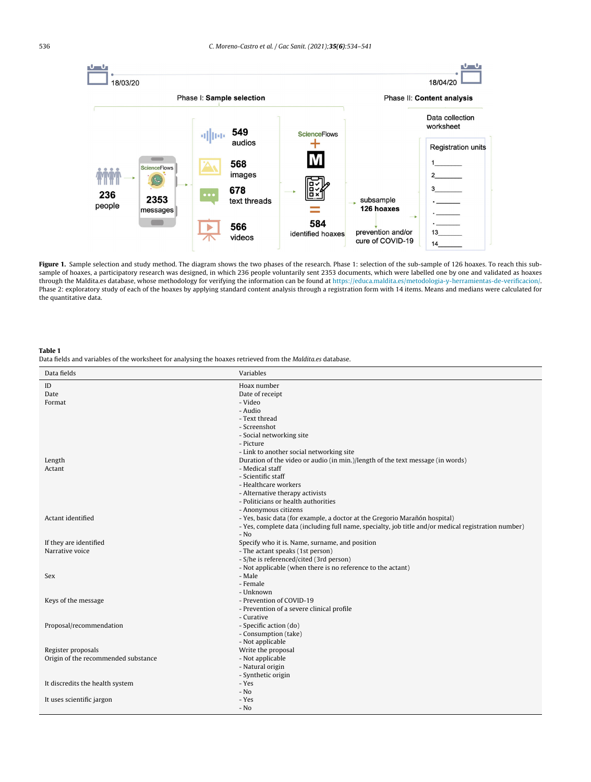<span id="page-2-0"></span>

Figure 1. Sample selection and study method. The diagram shows the two phases of the research. Phase 1: selection of the sub-sample of 126 hoaxes. To reach this subsample of hoaxes, a participatory research was designed, in which 236 people voluntarily sent 2353 documents, which were labelled one by one and validated as hoaxes through the Maldita.es database, whose methodology for verifying the information can be found at <https://educa.maldita.es/metodologia-y-herramientas-de-verificacion/>. Phase 2: exploratory study of each of the hoaxes by applying standard content analysis through a registration form with 14 items. Means and medians were calculated for the quantitative data.

#### Table 1

Data fields and variables of the worksheet for analysing the hoaxes retrieved from the Maldita.es database.

| Data fields                         | Variables                                                                                           |
|-------------------------------------|-----------------------------------------------------------------------------------------------------|
| ID                                  | Hoax number                                                                                         |
| Date                                | Date of receipt                                                                                     |
| Format                              | - Video                                                                                             |
|                                     | - Audio                                                                                             |
|                                     | - Text thread                                                                                       |
|                                     | - Screenshot                                                                                        |
|                                     | - Social networking site                                                                            |
|                                     | - Picture                                                                                           |
|                                     | - Link to another social networking site                                                            |
| Length                              | Duration of the video or audio (in min.)/length of the text message (in words)                      |
| Actant                              | - Medical staff                                                                                     |
|                                     | - Scientific staff                                                                                  |
|                                     | - Healthcare workers                                                                                |
|                                     | - Alternative therapy activists                                                                     |
|                                     | - Politicians or health authorities                                                                 |
|                                     | - Anonymous citizens                                                                                |
| Actant identified                   | - Yes, basic data (for example, a doctor at the Gregorio Marañón hospital)                          |
|                                     | - Yes, complete data (including full name, specialty, job title and/or medical registration number) |
|                                     | $-$ No                                                                                              |
| If they are identified              | Specify who it is. Name, surname, and position                                                      |
| Narrative voice                     | - The actant speaks (1st person)                                                                    |
|                                     | - S/he is referenced/cited (3rd person)                                                             |
|                                     | - Not applicable (when there is no reference to the actant)                                         |
| Sex                                 | - Male                                                                                              |
|                                     | - Female                                                                                            |
|                                     | - Unknown                                                                                           |
| Keys of the message                 | - Prevention of COVID-19                                                                            |
|                                     | - Prevention of a severe clinical profile                                                           |
|                                     | - Curative                                                                                          |
| Proposal/recommendation             | - Specific action (do)                                                                              |
|                                     | - Consumption (take)                                                                                |
|                                     | - Not applicable                                                                                    |
| Register proposals                  | Write the proposal                                                                                  |
| Origin of the recommended substance | - Not applicable                                                                                    |
|                                     | - Natural origin                                                                                    |
|                                     | - Synthetic origin                                                                                  |
| It discredits the health system     | - Yes<br>$-$ No                                                                                     |
|                                     | - Yes                                                                                               |
| It uses scientific jargon           | - No                                                                                                |
|                                     |                                                                                                     |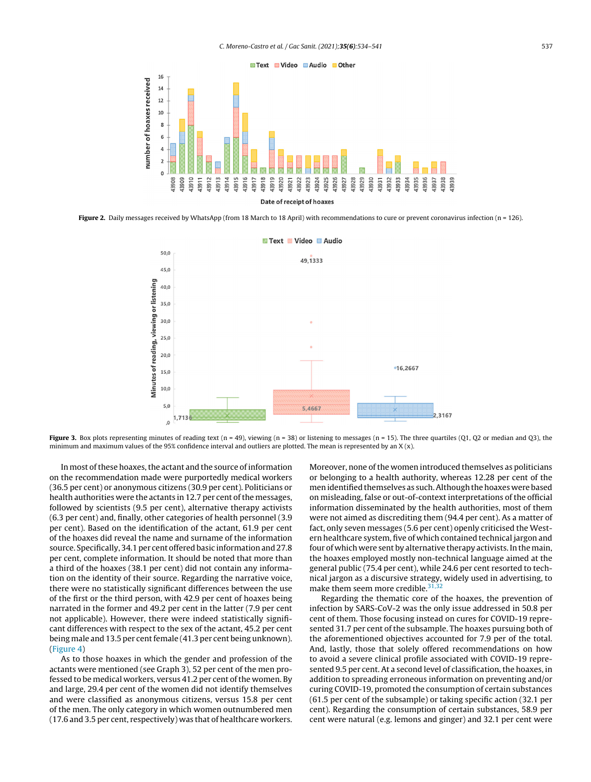<span id="page-3-0"></span>

Figure 2. Daily messages received by WhatsApp (from 18 March to 18 April) with recommendations to cure or prevent coronavirus infection (n = 126).



Figure 3. Box plots representing minutes of reading text (n = 49), viewing (n = 38) or listening to messages (n = 15). The three quartiles (Q1, Q2 or median and Q3), the minimum and maximum values of the 95% confidence interval and outliers are plotted. The mean is represented by an  $X(x)$ .

In most of these hoaxes, the actant and the source of information on the recommendation made were purportedly medical workers (36.5 per cent) or anonymous citizens (30.9 per cent). Politicians or health authorities were the actants in 12.7 per cent of the messages, followed by scientists (9.5 per cent), alternative therapy activists (6.3 per cent) and, finally, other categories of health personnel (3.9 per cent). Based on the identification of the actant, 61.9 per cent of the hoaxes did reveal the name and surname of the information source. Specifically, 34.1 per cent offered basic informationand 27.8 per cent, complete information. It should be noted that more than a third of the hoaxes (38.1 per cent) did not contain any information on the identity of their source. Regarding the narrative voice, there were no statistically significant differences between the use of the first or the third person, with 42.9 per cent of hoaxes being narrated in the former and 49.2 per cent in the latter (7.9 per cent not applicable). However, there were indeed statistically significant differences with respect to the sex of the actant, 45.2 per cent being male and 13.5 per cent female (41.3 per cent being unknown). ([Figure](#page-5-0) 4)

As to those hoaxes in which the gender and profession of the actants were mentioned (see Graph 3), 52 per cent of the men professed to be medical workers, versus 41.2 per cent of the women. By and large, 29.4 per cent of the women did not identify themselves and were classified as anonymous citizens, versus 15.8 per cent of the men. The only category in which women outnumbered men (17.6 and 3.5 per cent, respectively) was that of healthcare workers. Moreover, none of the women introduced themselves as politicians or belonging to a health authority, whereas 12.28 per cent of the men identified themselves as such. Although the hoaxes were based on misleading, false or out-of-context interpretations of the official information disseminated by the health authorities, most of them were not aimed as discrediting them (94.4 per cent). As a matter of fact, only seven messages (5.6 per cent) openly criticised the Western healthcare system, five of which contained technical jargon and four of which were sent by alternative therapy activists.In the main, the hoaxes employed mostly non-technical language aimed at the general public (75.4 per cent), while 24.6 per cent resorted to technical jargon as a discursive strategy, widely used in advertising, to make them seem more credible.<sup>[31,32](#page-7-0)</sup>

Regarding the thematic core of the hoaxes, the prevention of infection by SARS-CoV-2 was the only issue addressed in 50.8 per cent of them. Those focusing instead on cures for COVID-19 represented 31.7 per cent of the subsample. The hoaxes pursuing both of the aforementioned objectives accounted for 7.9 per of the total. And, lastly, those that solely offered recommendations on how to avoid a severe clinical profile associated with COVID-19 represented 9.5 per cent. At a second level of classification, the hoaxes, in addition to spreading erroneous information on preventing and/or curing COVID-19, promoted the consumption of certain substances (61.5 per cent of the subsample) or taking specific action (32.1 per cent). Regarding the consumption of certain substances, 58.9 per cent were natural (e.g. lemons and ginger) and 32.1 per cent were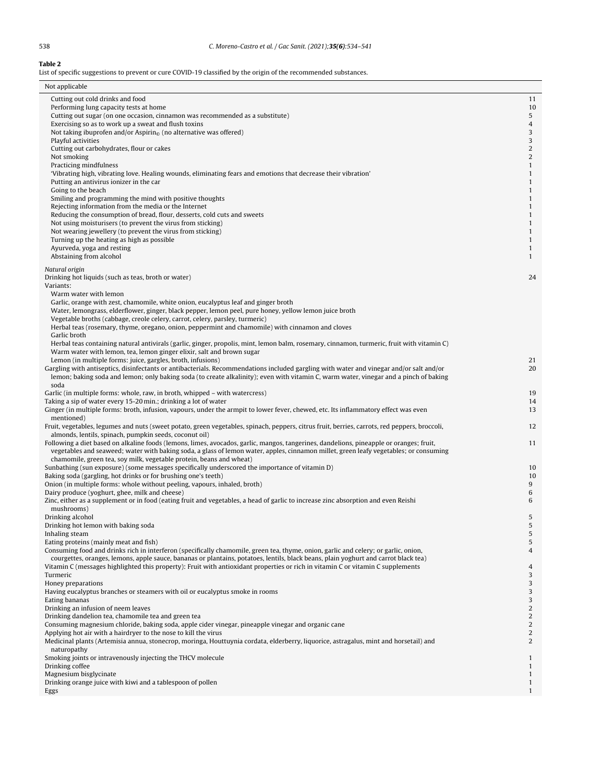<span id="page-4-0"></span>Table 2

| List of specific suggestions to prevent or cure COVID-19 classified by the origin of the recommended substances.                                                                                                                                                                                                                                                                                                                                                                                                                                                                                                                                                                                                                                                                                                                                                                           |                                                                                                                                                              |
|--------------------------------------------------------------------------------------------------------------------------------------------------------------------------------------------------------------------------------------------------------------------------------------------------------------------------------------------------------------------------------------------------------------------------------------------------------------------------------------------------------------------------------------------------------------------------------------------------------------------------------------------------------------------------------------------------------------------------------------------------------------------------------------------------------------------------------------------------------------------------------------------|--------------------------------------------------------------------------------------------------------------------------------------------------------------|
| Not applicable                                                                                                                                                                                                                                                                                                                                                                                                                                                                                                                                                                                                                                                                                                                                                                                                                                                                             |                                                                                                                                                              |
| Cutting out cold drinks and food<br>Performing lung capacity tests at home<br>Cutting out sugar (on one occasion, cinnamon was recommended as a substitute)<br>Exercising so as to work up a sweat and flush toxins<br>Not taking ibuprofen and/or Aspirin $_{\odot}$ (no alternative was offered)<br>Playful activities<br>Cutting out carbohydrates, flour or cakes<br>Not smoking<br>Practicing mindfulness<br>'Vibrating high, vibrating love. Healing wounds, eliminating fears and emotions that decrease their vibration'<br>Putting an antivirus ionizer in the car<br>Going to the beach<br>Smiling and programming the mind with positive thoughts<br>Rejecting information from the media or the Internet                                                                                                                                                                       | 11<br>10<br>5<br>$\overline{4}$<br>3<br>3<br>$\sqrt{2}$<br>2<br>$\mathbf{1}$<br>$\mathbf{1}$<br>$\mathbf{1}$<br>$\mathbf{1}$<br>$\mathbf{1}$<br>$\mathbf{1}$ |
| Reducing the consumption of bread, flour, desserts, cold cuts and sweets<br>Not using moisturisers (to prevent the virus from sticking)<br>Not wearing jewellery (to prevent the virus from sticking)<br>Turning up the heating as high as possible<br>Ayurveda, yoga and resting<br>Abstaining from alcohol                                                                                                                                                                                                                                                                                                                                                                                                                                                                                                                                                                               | $\mathbf{1}$<br>$\mathbf{1}$<br>$\mathbf{1}$<br>$\mathbf{1}$<br>$\mathbf{1}$<br>$\mathbf{1}$                                                                 |
| Natural origin<br>Drinking hot liquids (such as teas, broth or water)<br>Variants:<br>Warm water with lemon<br>Garlic, orange with zest, chamomile, white onion, eucalyptus leaf and ginger broth<br>Water, lemongrass, elderflower, ginger, black pepper, lemon peel, pure honey, yellow lemon juice broth<br>Vegetable broths (cabbage, creole celery, carrot, celery, parsley, turmeric)<br>Herbal teas (rosemary, thyme, oregano, onion, peppermint and chamomile) with cinnamon and cloves<br>Garlic broth<br>Herbal teas containing natural antivirals (garlic, ginger, propolis, mint, lemon balm, rosemary, cinnamon, turmeric, fruit with vitamin C)<br>Warm water with lemon, tea, lemon ginger elixir, salt and brown sugar                                                                                                                                                     | 24                                                                                                                                                           |
| Lemon (in multiple forms: juice, gargles, broth, infusions)<br>Gargling with antiseptics, disinfectants or antibacterials. Recommendations included gargling with water and vinegar and/or salt and/or<br>lemon; baking soda and lemon; only baking soda (to create alkalinity); even with vitamin C, warm water, vinegar and a pinch of baking<br>soda                                                                                                                                                                                                                                                                                                                                                                                                                                                                                                                                    | 21<br>20                                                                                                                                                     |
| Garlic (in multiple forms: whole, raw, in broth, whipped - with watercress)<br>Taking a sip of water every 15-20 min.; drinking a lot of water<br>Ginger (in multiple forms: broth, infusion, vapours, under the armpit to lower fever, chewed, etc. Its inflammatory effect was even<br>mentioned)                                                                                                                                                                                                                                                                                                                                                                                                                                                                                                                                                                                        | 19<br>14<br>13                                                                                                                                               |
| Fruit, vegetables, legumes and nuts (sweet potato, green vegetables, spinach, peppers, citrus fruit, berries, carrots, red peppers, broccoli,<br>almonds, lentils, spinach, pumpkin seeds, coconut oil)<br>Following a diet based on alkaline foods (lemons, limes, avocados, garlic, mangos, tangerines, dandelions, pineapple or oranges; fruit,                                                                                                                                                                                                                                                                                                                                                                                                                                                                                                                                         | 12<br>11                                                                                                                                                     |
| vegetables and seaweed; water with baking soda, a glass of lemon water, apples, cinnamon millet, green leafy vegetables; or consuming<br>chamomile, green tea, soy milk, vegetable protein, beans and wheat)<br>Sunbathing (sun exposure) (some messages specifically underscored the importance of vitamin D)<br>Baking soda (gargling, hot drinks or for brushing one's teeth)<br>Onion (in multiple forms: whole without peeling, vapours, inhaled, broth)<br>Dairy produce (yoghurt, ghee, milk and cheese)<br>Zinc, either as a supplement or in food (eating fruit and vegetables, a head of garlic to increase zinc absorption and even Reishi                                                                                                                                                                                                                                      | 10<br>10<br>9<br>6<br>6                                                                                                                                      |
| mushrooms)<br>Drinking alcohol<br>Drinking hot lemon with baking soda<br>Inhaling steam<br>Eating proteins (mainly meat and fish)<br>Consuming food and drinks rich in interferon (specifically chamomile, green tea, thyme, onion, garlic and celery; or garlic, onion,<br>courgettes, oranges, lemons, apple sauce, bananas or plantains, potatoes, lentils, black beans, plain yoghurt and carrot black tea)<br>Vitamin C (messages highlighted this property): Fruit with antioxidant properties or rich in vitamin C or vitamin C supplements<br>Turmeric<br>Honey preparations<br>Having eucalyptus branches or steamers with oil or eucalyptus smoke in rooms<br>Eating bananas<br>Drinking an infusion of neem leaves<br>Drinking dandelion tea, chamomile tea and green tea<br>Consuming magnesium chloride, baking soda, apple cider vinegar, pineapple vinegar and organic cane | 5<br>5<br>5<br>5<br>4<br>$\overline{4}$<br>3<br>3<br>3<br>3<br>$\overline{c}$<br>$\sqrt{2}$<br>2                                                             |
| Applying hot air with a hairdryer to the nose to kill the virus<br>Medicinal plants (Artemisia annua, stonecrop, moringa, Houttuynia cordata, elderberry, liquorice, astragalus, mint and horsetail) and<br>naturopathy<br>Smoking joints or intravenously injecting the THCV molecule<br>Drinking coffee<br>Magnesium bisglycinate                                                                                                                                                                                                                                                                                                                                                                                                                                                                                                                                                        | $\overline{c}$<br>2<br>$\mathbf{1}$<br>$\mathbf{1}$<br>$\mathbf{1}$                                                                                          |
| Drinking orange juice with kiwi and a tablespoon of pollen<br>Eggs                                                                                                                                                                                                                                                                                                                                                                                                                                                                                                                                                                                                                                                                                                                                                                                                                         | $\mathbf{1}$<br>$\mathbf{1}$                                                                                                                                 |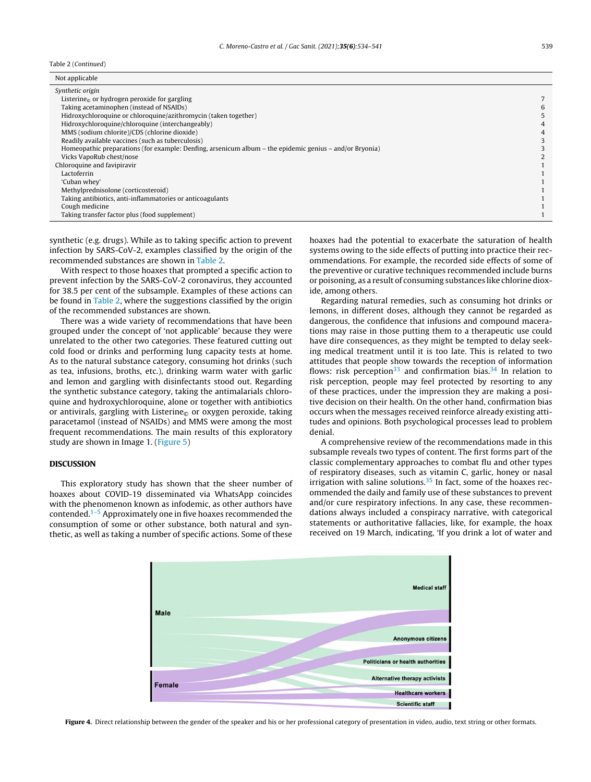<span id="page-5-0"></span>Table 2 (Continued)

| Not applicable                                                                                          |   |
|---------------------------------------------------------------------------------------------------------|---|
| Synthetic origin                                                                                        |   |
| Listerine <sub><math>\odot</math></sub> or hydrogen peroxide for gargling                               |   |
| Taking acetaminophen (instead of NSAIDs)                                                                | 6 |
| Hidroxychloroquine or chloroquine/azithromycin (taken together)                                         |   |
| Hidroxychloroquine/chloroquine (interchangeably)                                                        |   |
| MMS (sodium chlorite)/CDS (chlorine dioxide)                                                            |   |
| Readily available vaccines (such as tuberculosis)                                                       |   |
| Homeopathic preparations (for example: Denfing, arsenicum album – the epidemic genius – and/or Bryonia) |   |
| Vicks VapoRub chest/nose                                                                                |   |
| Chloroquine and favipiravir                                                                             |   |
| Lactoferrin                                                                                             |   |
| 'Cuban whey'                                                                                            |   |
| Methylprednisolone (corticosteroid)                                                                     |   |
| Taking antibiotics, anti-inflammatories or anticoagulants                                               |   |
| Cough medicine                                                                                          |   |
| Taking transfer factor plus (food supplement)                                                           |   |

synthetic (e.g. drugs). While as to taking specific action to prevent infection by SARS-CoV-2, examples classified by the origin of the recommended substances are shown in [Table](#page-4-0) 2.

With respect to those hoaxes that prompted a specific action to prevent infection by the SARS-CoV-2 coronavirus, they accounted for 38.5 per cent of the subsample. Examples of these actions can be found in [Table](#page-4-0) 2, where the suggestions classified by the origin of the recommended substances are shown.

There was a wide variety of recommendations that have been grouped under the concept of 'not applicable' because they were unrelated to the other two categories. These featured cutting out cold food or drinks and performing lung capacity tests at home. As to the natural substance category, consuming hot drinks (such as tea, infusions, broths, etc.), drinking warm water with garlic and lemon and gargling with disinfectants stood out. Regarding the synthetic substance category, taking the antimalarials chloroquine and hydroxychloroquine, alone or together with antibiotics or antivirals, gargling with Listerine<sub> $\odot$ </sub> or oxygen peroxide, taking paracetamol (instead of NSAIDs) and MMS were among the most frequent recommendations. The main results of this exploratory study are shown in Image 1. ([Figure](#page-6-0) 5)

# DISCUSSION

This exploratory study has shown that the sheer number of hoaxes about COVID-19 disseminated via WhatsApp coincides with the phenomenon known as infodemic, as other authors have contended.[1–5](#page-7-0) Approximately one in five hoaxes recommended the consumption of some or other substance, both natural and synthetic, as well as taking a number of specific actions. Some of these

hoaxes had the potential to exacerbate the saturation of health systems owing to the side effects of putting into practice their recommendations. For example, the recorded side effects of some of the preventive or curative techniques recommended include burns or poisoning, as a result of consuming substances like chlorine dioxide, among others.

Regarding natural remedies, such as consuming hot drinks or lemons, in different doses, although they cannot be regarded as dangerous, the confidence that infusions and compound macerations may raise in those putting them to a therapeutic use could have dire consequences, as they might be tempted to delay seeking medical treatment until it is too late. This is related to two attitudes that people show towards the reception of information flows: risk perception<sup>[33](#page-7-0)</sup> and confirmation bias.<sup>[34](#page-7-0)</sup> In relation to risk perception, people may feel protected by resorting to any of these practices, under the impression they are making a positive decision on their health. On the other hand, confirmation bias occurs when the messages received reinforce already existing attitudes and opinions. Both psychological processes lead to problem denial.

A comprehensive review of the recommendations made in this subsample reveals two types of content. The first forms part of the classic complementary approaches to combat flu and other types of respiratory diseases, such as vitamin C, garlic, honey or nasal irrigation with saline solutions. $35$  In fact, some of the hoaxes recommended the daily and family use of these substances to prevent and/or cure respiratory infections. In any case, these recommendations always included a conspiracy narrative, with categorical statements or authoritative fallacies, like, for example, the hoax received on 19 March, indicating, 'If you drink a lot of water and

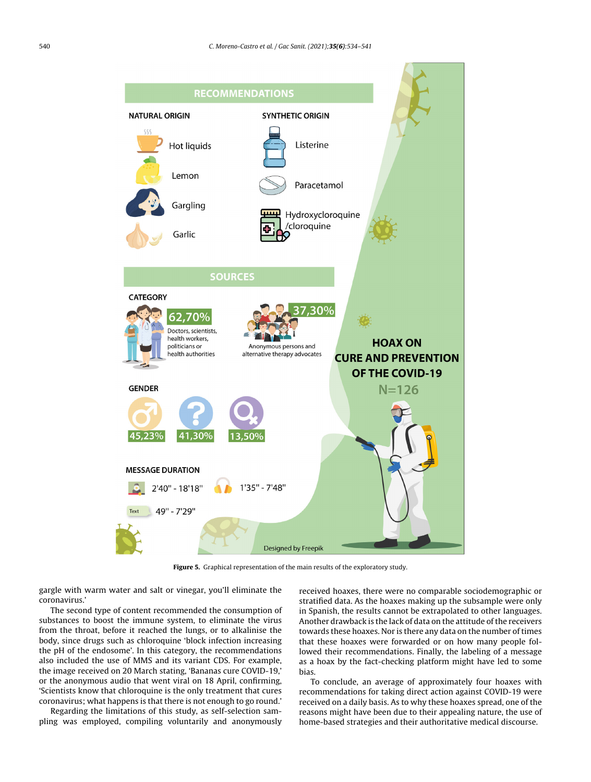<span id="page-6-0"></span>

Figure 5. Graphical representation of the main results of the exploratory study.

gargle with warm water and salt or vinegar, you'll eliminate the coronavirus.'

The second type of content recommended the consumption of substances to boost the immune system, to eliminate the virus from the throat, before it reached the lungs, or to alkalinise the body, since drugs such as chloroquine 'block infection increasing the pH of the endosome'. In this category, the recommendations also included the use of MMS and its variant CDS. For example, the image received on 20 March stating, 'Bananas cure COVID-19,' or the anonymous audio that went viral on 18 April, confirming, 'Scientists know that chloroquine is the only treatment that cures coronavirus; what happens is that there is not enough to go round.'

Regarding the limitations of this study, as self-selection sampling was employed, compiling voluntarily and anonymously

received hoaxes, there were no comparable sociodemographic or stratified data. As the hoaxes making up the subsample were only in Spanish, the results cannot be extrapolated to other languages. Another drawback is the lack of data on the attitude of the receivers towards these hoaxes. Nor is there any data on the number of times that these hoaxes were forwarded or on how many people followed their recommendations. Finally, the labeling of a message as a hoax by the fact-checking platform might have led to some bias.

To conclude, an average of approximately four hoaxes with recommendations for taking direct action against COVID-19 were received on a daily basis. As to why these hoaxes spread, one of the reasons might have been due to their appealing nature, the use of home-based strategies and their authoritative medical discourse.